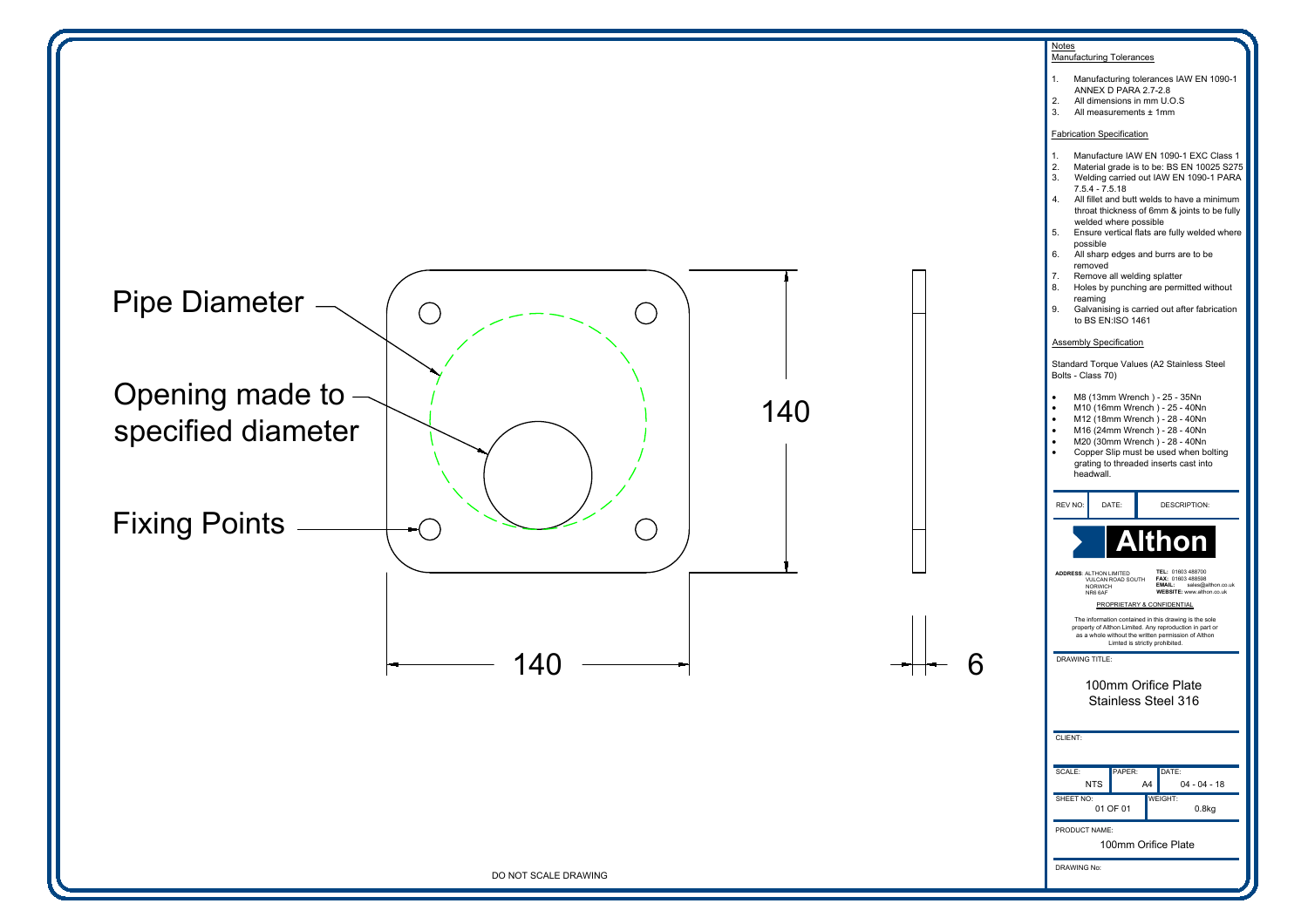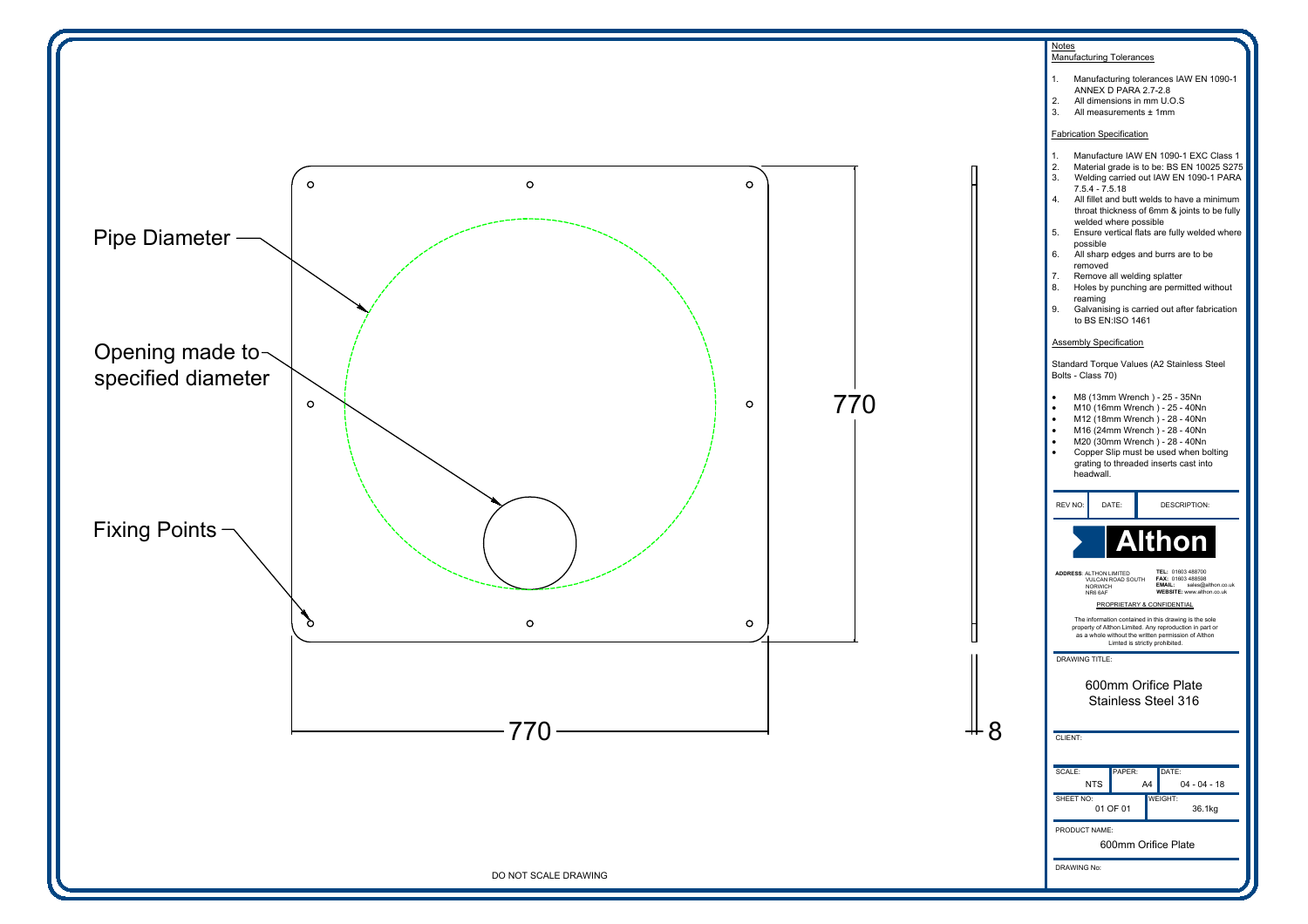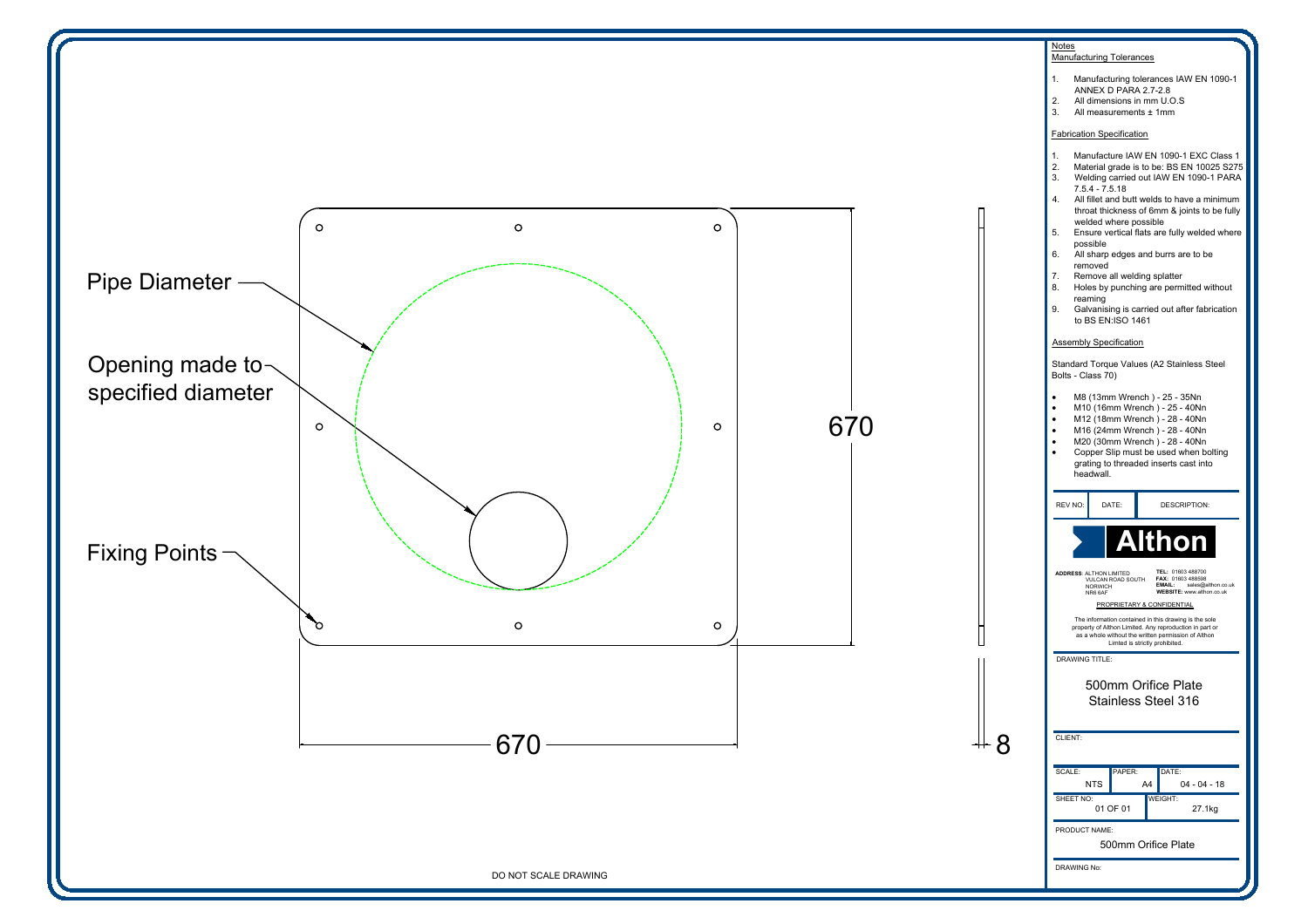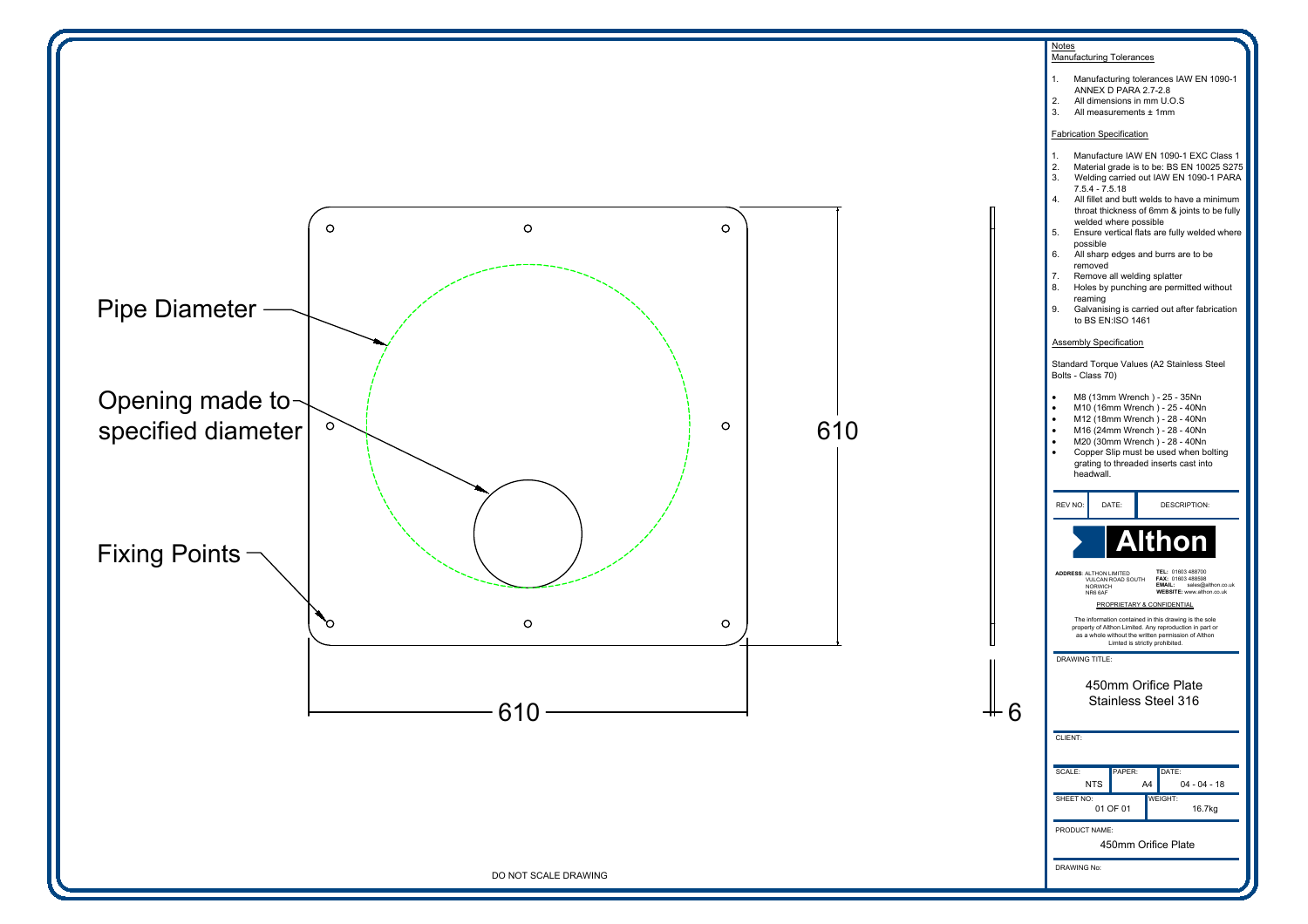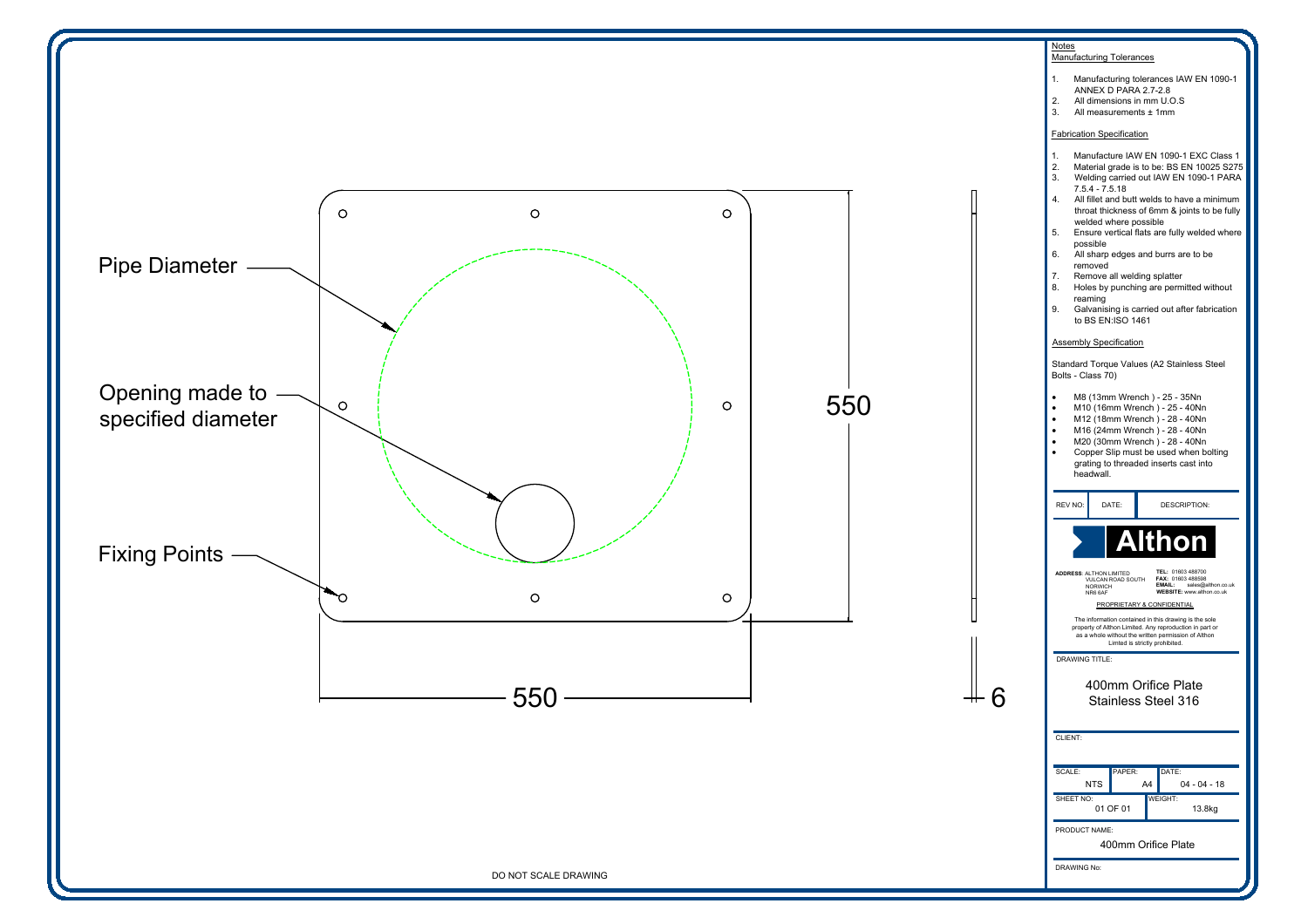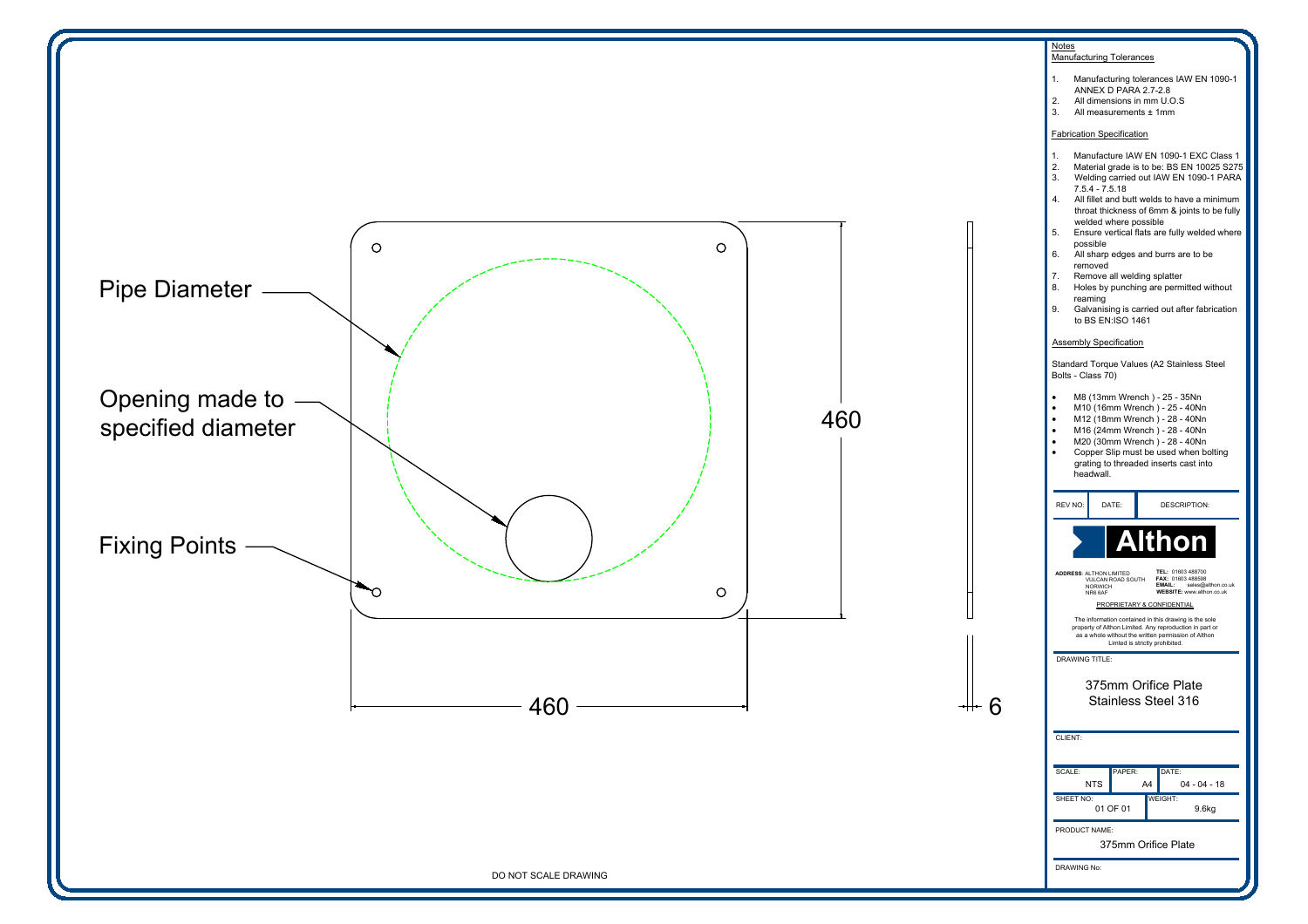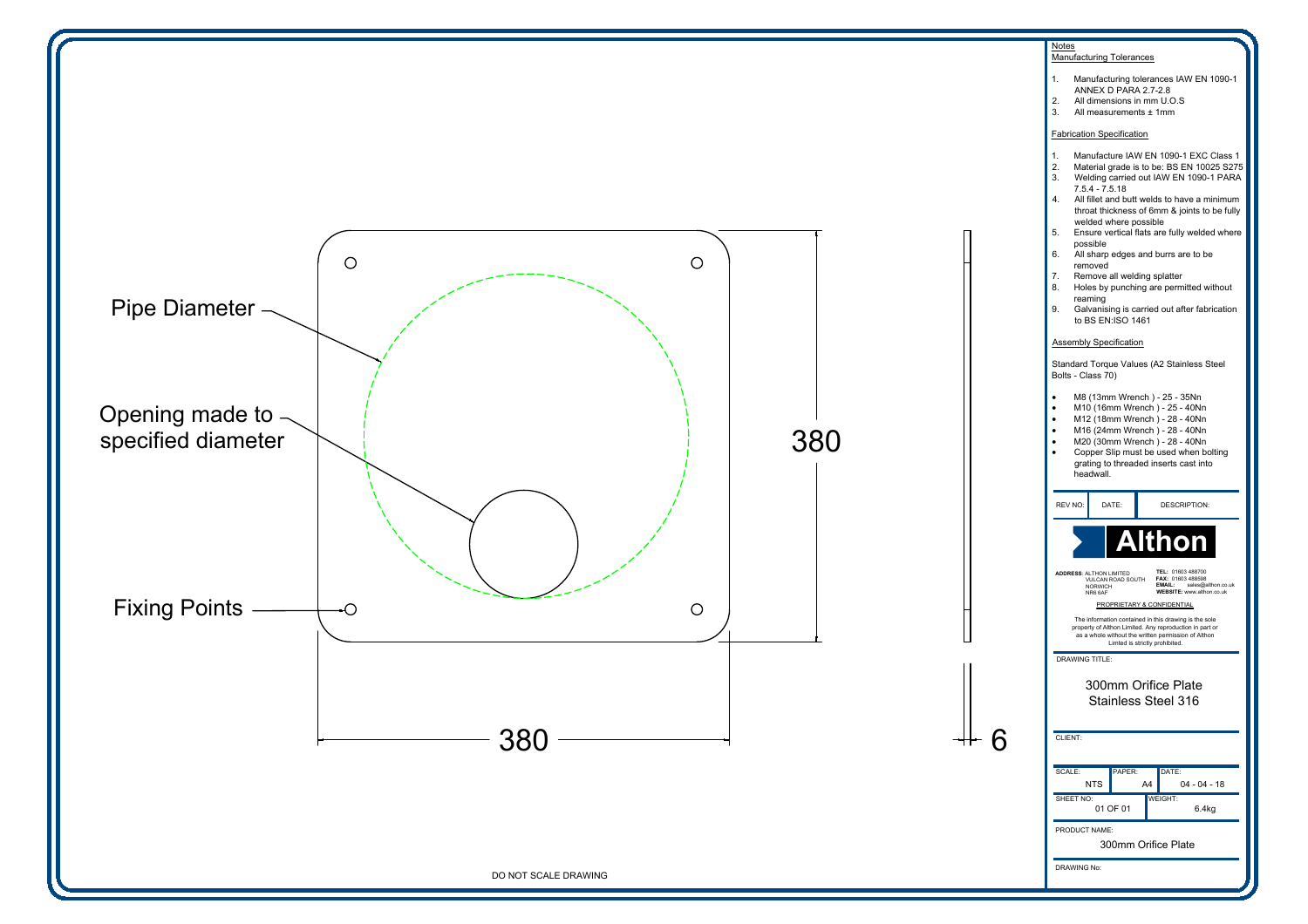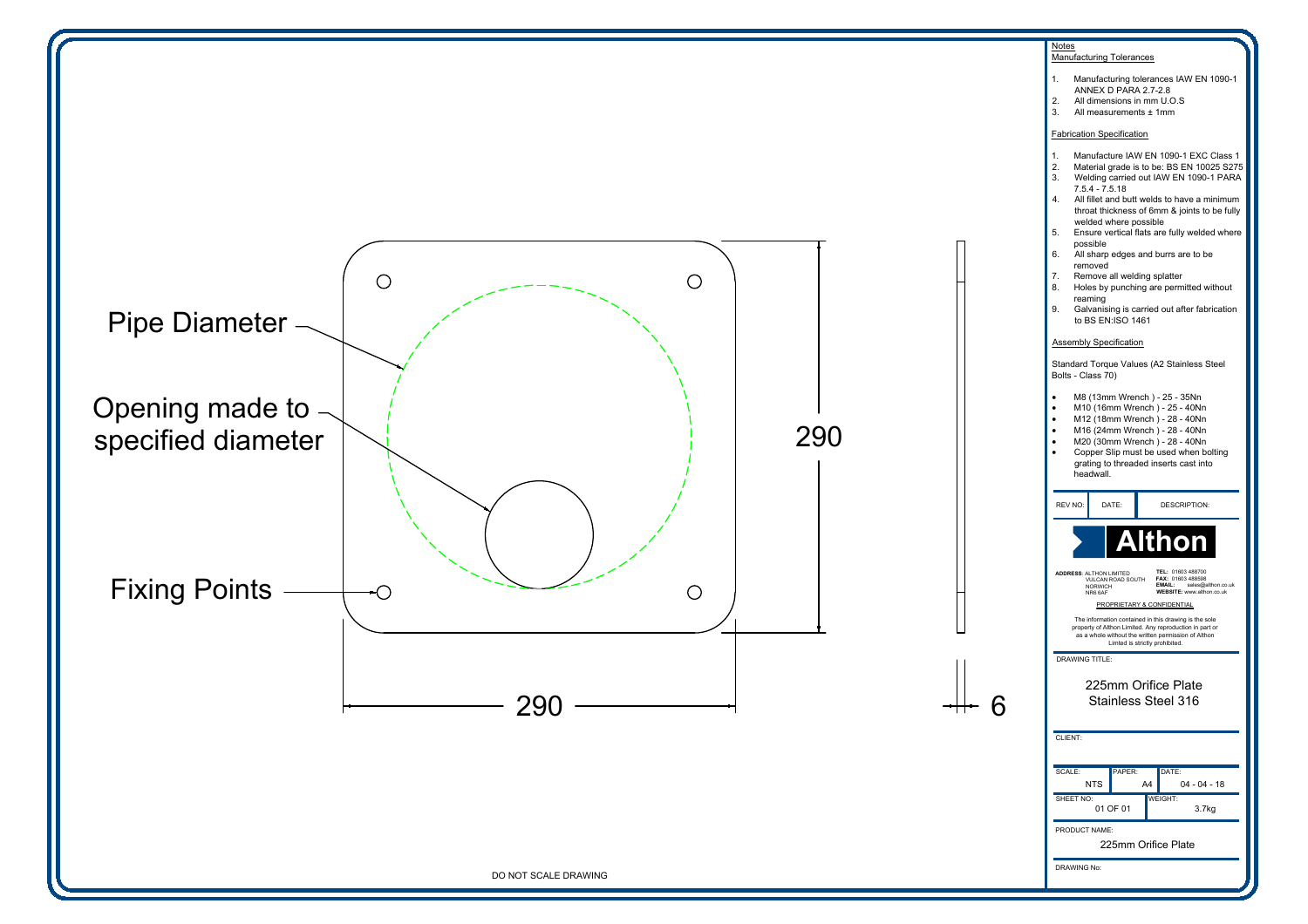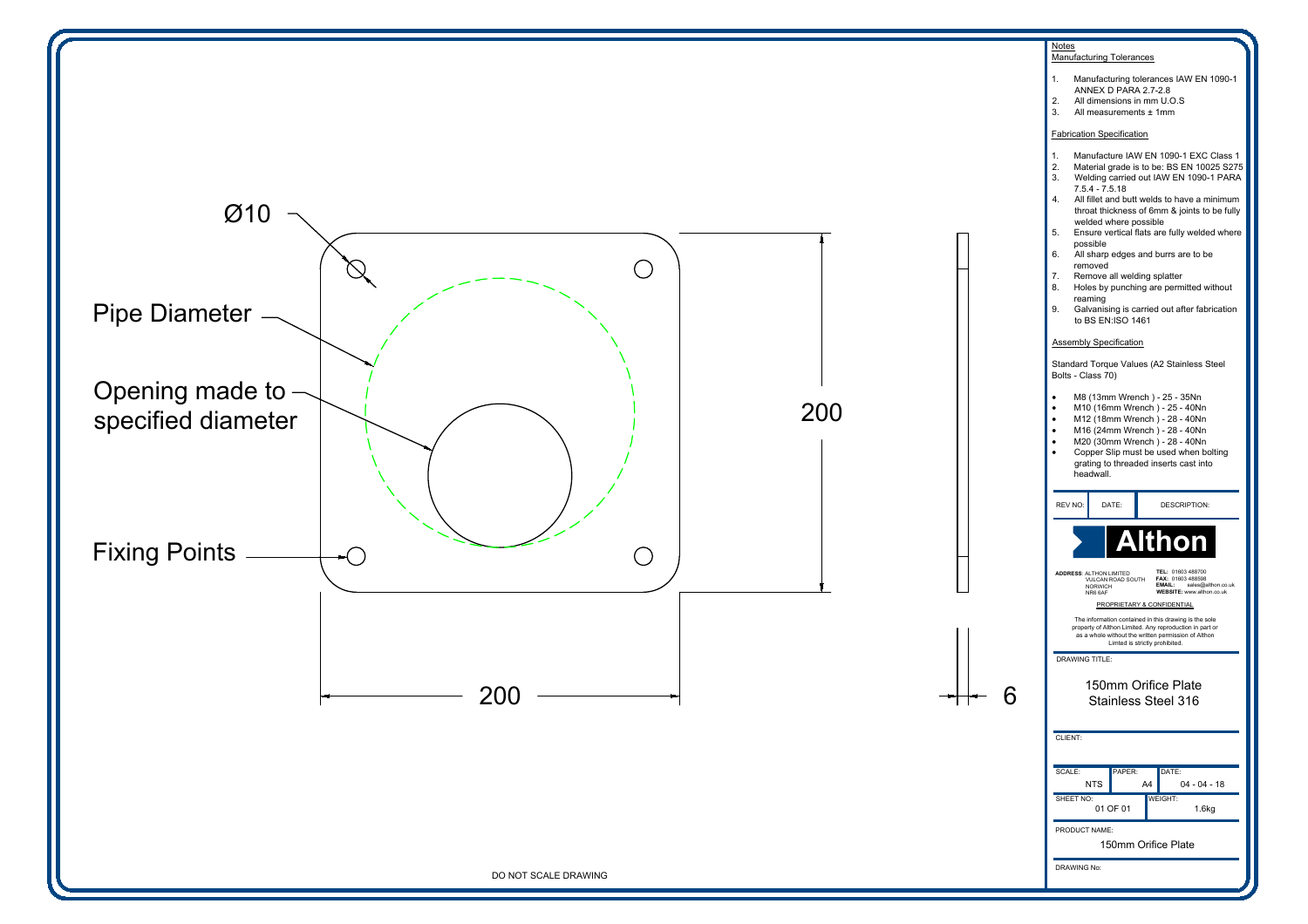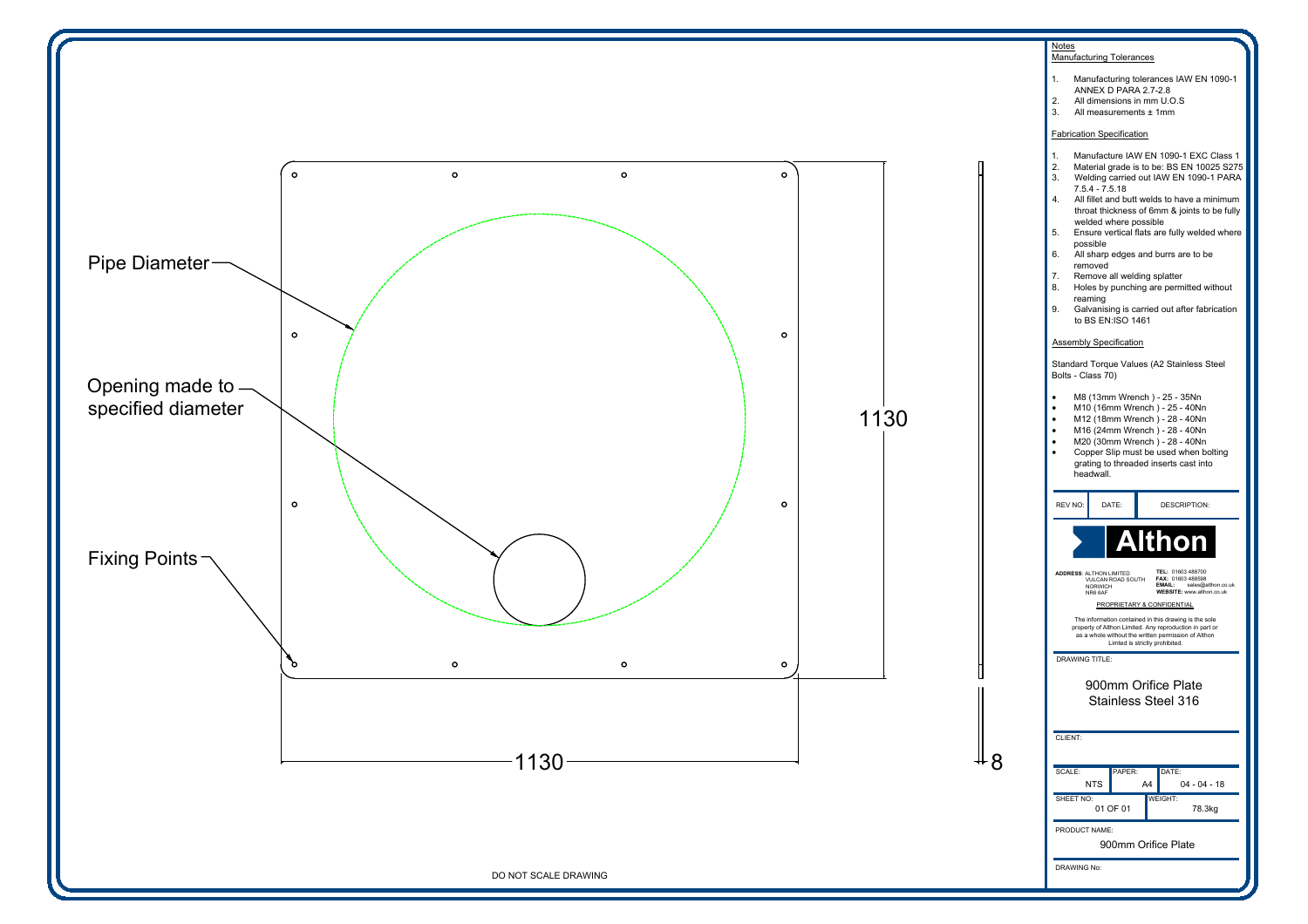